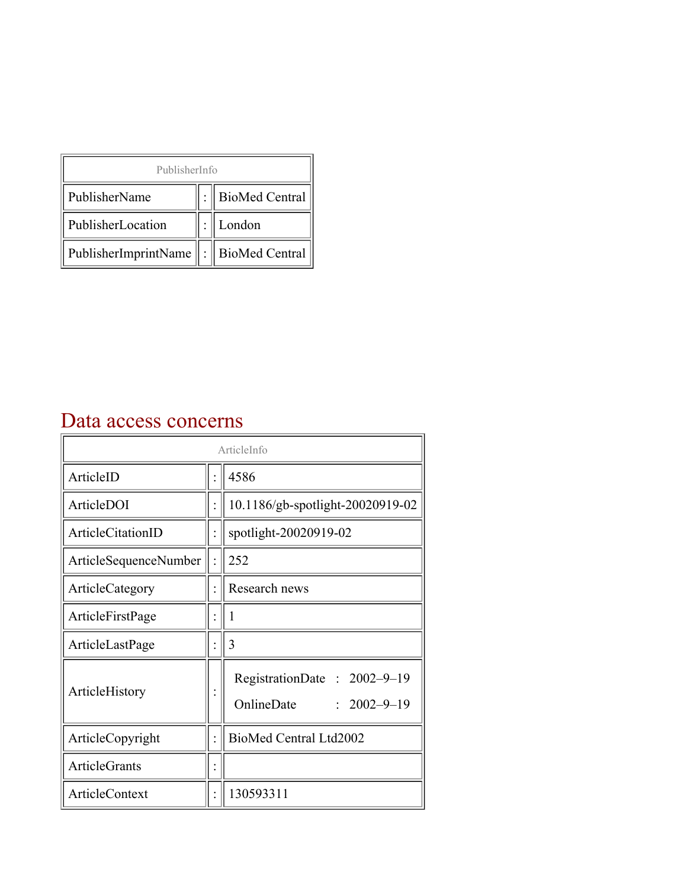| PublisherInfo                                   |  |                    |  |  |
|-------------------------------------------------|--|--------------------|--|--|
| PublisherName                                   |  | :   BioMed Central |  |  |
| PublisherLocation                               |  | London             |  |  |
| PublisherImprintName $\ \cdot\ $ BioMed Central |  |                    |  |  |

## Data access concerns

| ArticleInfo                  |  |                                                                |
|------------------------------|--|----------------------------------------------------------------|
| ArticleID                    |  | 4586                                                           |
| ArticleDOI                   |  | 10.1186/gb-spotlight-20020919-02                               |
| ArticleCitationID            |  | spotlight-20020919-02                                          |
| <b>ArticleSequenceNumber</b> |  | 252                                                            |
| ArticleCategory              |  | Research news                                                  |
| ArticleFirstPage             |  | 1                                                              |
| ArticleLastPage              |  | 3                                                              |
| ArticleHistory               |  | RegistrationDate: 2002-9-19<br>OnlineDate<br>$: 2002 - 9 - 19$ |
| ArticleCopyright             |  | BioMed Central Ltd2002                                         |
| <b>ArticleGrants</b>         |  |                                                                |
| ArticleContext               |  | 130593311                                                      |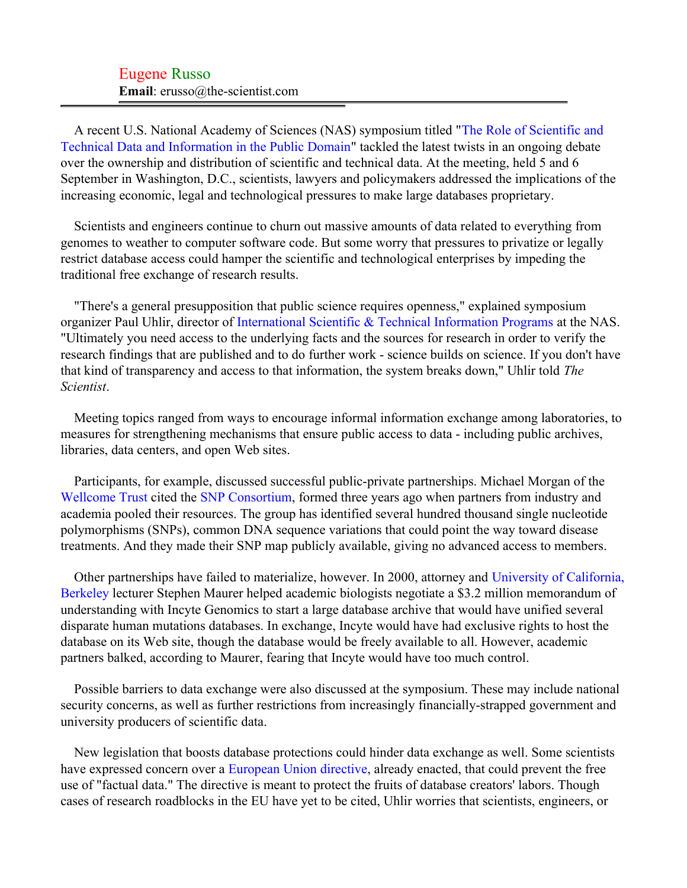## Eugene Russo **Email**: erusso@the-scientist.com

A recent U.S. National Academy of Sciences (NAS) symposium titled ["The Role of Scientific and](#page-2-0) [Technical Data and Information in the Public Domain"](#page-2-0) tackled the latest twists in an ongoing debate over the ownership and distribution of scientific and technical data. At the meeting, held 5 and 6 September in Washington, D.C., scientists, lawyers and policymakers addressed the implications of the increasing economic, legal and technological pressures to make large databases proprietary.

Scientists and engineers continue to churn out massive amounts of data related to everything from genomes to weather to computer software code. But some worry that pressures to privatize or legally restrict database access could hamper the scientific and technological enterprises by impeding the traditional free exchange of research results.

"There's a general presupposition that public science requires openness," explained symposium organizer Paul Uhlir, director of [International Scientific & Technical Information Programs](#page-2-1) at the NAS. "Ultimately you need access to the underlying facts and the sources for research in order to verify the research findings that are published and to do further work - science builds on science. If you don't have that kind of transparency and access to that information, the system breaks down," Uhlir told *The Scientist*.

Meeting topics ranged from ways to encourage informal information exchange among laboratories, to measures for strengthening mechanisms that ensure public access to data - including public archives, libraries, data centers, and open Web sites.

Participants, for example, discussed successful public-private partnerships. Michael Morgan of the [Wellcome Trust](#page-2-2) cited the [SNP Consortium](#page-2-3), formed three years ago when partners from industry and academia pooled their resources. The group has identified several hundred thousand single nucleotide polymorphisms (SNPs), common DNA sequence variations that could point the way toward disease treatments. And they made their SNP map publicly available, giving no advanced access to members.

Other partnerships have failed to materialize, however. In 2000, attorney and [University of California,](#page-2-4) [Berkeley](#page-2-4) lecturer Stephen Maurer helped academic biologists negotiate a \$3.2 million memorandum of understanding with Incyte Genomics to start a large database archive that would have unified several disparate human mutations databases. In exchange, Incyte would have had exclusive rights to host the database on its Web site, though the database would be freely available to all. However, academic partners balked, according to Maurer, fearing that Incyte would have too much control.

Possible barriers to data exchange were also discussed at the symposium. These may include national security concerns, as well as further restrictions from increasingly financially-strapped government and university producers of scientific data.

New legislation that boosts database protections could hinder data exchange as well. Some scientists have expressed concern over a [European Union directive,](#page-2-5) already enacted, that could prevent the free use of "factual data." The directive is meant to protect the fruits of database creators' labors. Though cases of research roadblocks in the EU have yet to be cited, Uhlir worries that scientists, engineers, or